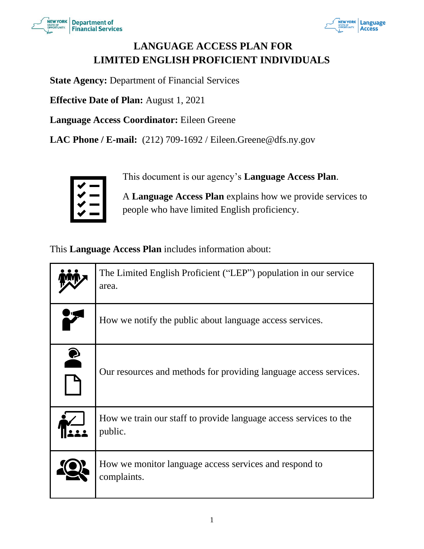



# **LANGUAGE ACCESS PLAN FOR LIMITED ENGLISH PROFICIENT INDIVIDUALS**

**State Agency:** Department of Financial Services

**Effective Date of Plan:** August 1, 2021

**Language Access Coordinator:** Eileen Greene

**LAC Phone / E-mail:** (212) 709-1692 / Eileen.Greene@dfs.ny.gov



This document is our agency's **Language Access Plan**.

A **Language Access Plan** explains how we provide services to people who have limited English proficiency.

This **Language Access Plan** includes information about:

|           | The Limited English Proficient ("LEP") population in our service<br>area.    |
|-----------|------------------------------------------------------------------------------|
|           | How we notify the public about language access services.                     |
| $\bullet$ | Our resources and methods for providing language access services.            |
|           | How we train our staff to provide language access services to the<br>public. |
|           | How we monitor language access services and respond to<br>complaints.        |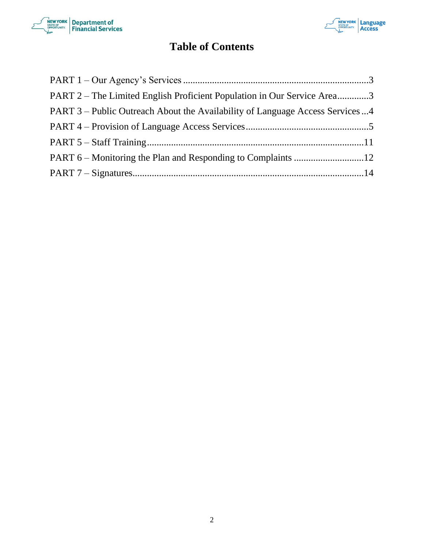



# **Table of Contents**

| PART 2 – The Limited English Proficient Population in Our Service Area3      |  |
|------------------------------------------------------------------------------|--|
| PART 3 – Public Outreach About the Availability of Language Access Services4 |  |
|                                                                              |  |
|                                                                              |  |
|                                                                              |  |
|                                                                              |  |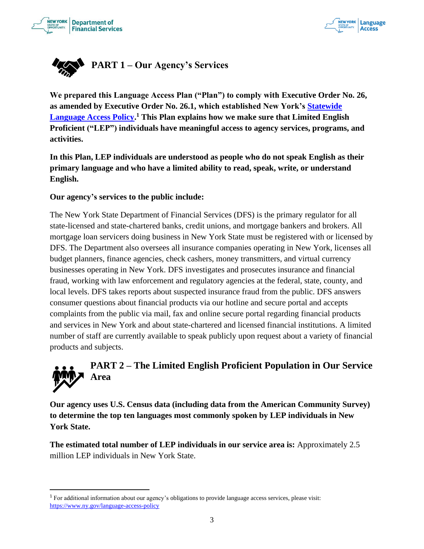



<span id="page-2-0"></span>

**We prepared this Language Access Plan ("Plan") to comply with Executive Order No. 26, as amended by Executive Order No. 26.1, which established New York's Statewide Language Access Policy. <sup>1</sup> This Plan explains how we make sure that Limited English Proficient ("LEP") individuals have meaningful access to agency services, programs, and activities.**

**In this Plan, LEP individuals are understood as people who do not speak English as their primary language and who have a limited ability to read, speak, write, or understand English.** 

#### **Our agency's services to the public include:**

The New York State Department of Financial Services (DFS) is the primary regulator for all state-licensed and state-chartered banks, credit unions, and mortgage bankers and brokers. All mortgage loan servicers doing business in New York State must be registered with or licensed by DFS. The Department also oversees all insurance companies operating in New York, licenses all budget planners, finance agencies, check cashers, money transmitters, and virtual currency businesses operating in New York. DFS investigates and prosecutes insurance and financial fraud, working with law enforcement and regulatory agencies at the federal, state, county, and local levels. DFS takes reports about suspected insurance fraud from the public. DFS answers consumer questions about financial products via our hotline and secure portal and accepts complaints from the public via mail, fax and online secure portal regarding financial products and services in New York and about state-chartered and licensed financial institutions. A limited number of staff are currently available to speak publicly upon request about a variety of financial products and subjects.

# <span id="page-2-1"></span>**PART 2 – The Limited English Proficient Population in Our Service Area**

**Our agency uses U.S. Census data (including data from the American Community Survey) to determine the top ten languages most commonly spoken by LEP individuals in New York State.** 

**The estimated total number of LEP individuals in our service area is:** Approximately 2.5 million LEP individuals in New York State.

<sup>1</sup> For additional information about our agency's obligations to provide language access services, please visit: https://www.ny.gov/language-access-policy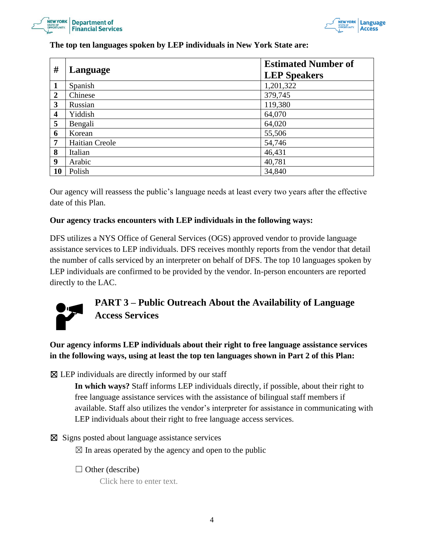



| The top ten languages spoken by LEP individuals in New York State are: |  |  |  |
|------------------------------------------------------------------------|--|--|--|
|------------------------------------------------------------------------|--|--|--|

| #                       | Language       | <b>Estimated Number of</b><br><b>LEP Speakers</b> |
|-------------------------|----------------|---------------------------------------------------|
| 1                       | Spanish        | 1,201,322                                         |
| $\boldsymbol{2}$        | Chinese        | 379,745                                           |
| 3                       | Russian        | 119,380                                           |
| $\overline{\mathbf{4}}$ | Yiddish        | 64,070                                            |
| 5                       | Bengali        | 64,020                                            |
| 6                       | Korean         | 55,506                                            |
| 7                       | Haitian Creole | 54,746                                            |
| 8                       | Italian        | 46,431                                            |
| 9                       | Arabic         | 40,781                                            |
| <b>10</b>               | Polish         | 34,840                                            |

Our agency will reassess the public's language needs at least every two years after the effective date of this Plan.

#### **Our agency tracks encounters with LEP individuals in the following ways:**

DFS utilizes a NYS Office of General Services (OGS) approved vendor to provide language assistance services to LEP individuals. DFS receives monthly reports from the vendor that detail the number of calls serviced by an interpreter on behalf of DFS. The top 10 languages spoken by LEP individuals are confirmed to be provided by the vendor. In-person encounters are reported directly to the LAC.



# <span id="page-3-0"></span>**PART 3 – Public Outreach About the Availability of Language Access Services**

**Our agency informs LEP individuals about their right to free language assistance services in the following ways, using at least the top ten languages shown in Part 2 of this Plan:**

 $\boxtimes$  LEP individuals are directly informed by our staff

**In which ways?** Staff informs LEP individuals directly, if possible, about their right to free language assistance services with the assistance of bilingual staff members if available. Staff also utilizes the vendor's interpreter for assistance in communicating with LEP individuals about their right to free language access services.

⊠ Signs posted about language assistance services

 $\boxtimes$  In areas operated by the agency and open to the public

 $\Box$  Other (describe)

Click here to enter text.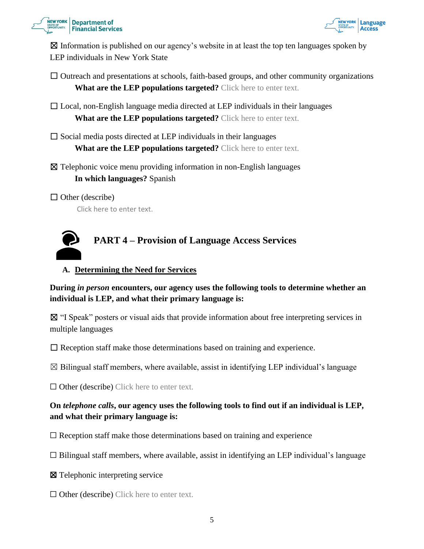



 $\boxtimes$  Information is published on our agency's website in at least the top ten languages spoken by LEP individuals in New York State

 $\Box$  Outreach and presentations at schools, faith-based groups, and other community organizations **What are the LEP populations targeted?** Click here to enter text.

 $\Box$  Local, non-English language media directed at LEP individuals in their languages **What are the LEP populations targeted?** Click here to enter text.

 $\square$  Social media posts directed at LEP individuals in their languages

**What are the LEP populations targeted?** Click here to enter text.

☒ Telephonic voice menu providing information in non-English languages **In which languages?** Spanish

 $\Box$  Other (describe)

<span id="page-4-0"></span>Click here to enter text.



## **A. Determining the Need for Services**

**During** *in person* **encounters, our agency uses the following tools to determine whether an individual is LEP, and what their primary language is:**

☒ "I Speak" posters or visual aids that provide information about free interpreting services in multiple languages

 $\Box$  Reception staff make those determinations based on training and experience.

 $\boxtimes$  Bilingual staff members, where available, assist in identifying LEP individual's language

 $\Box$  Other (describe) Click here to enter text.

# **On** *telephone calls***, our agency uses the following tools to find out if an individual is LEP, and what their primary language is:**

 $\Box$  Reception staff make those determinations based on training and experience

 $\Box$  Bilingual staff members, where available, assist in identifying an LEP individual's language

☒ Telephonic interpreting service

 $\Box$  Other (describe) Click here to enter text.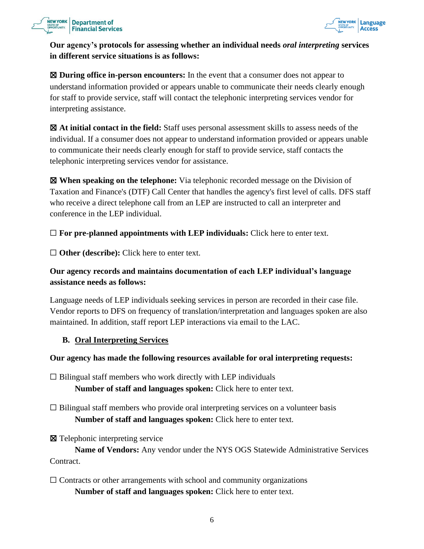



# **Our agency's protocols for assessing whether an individual needs** *oral interpreting* **services in different service situations is as follows:**

☒ **During office in-person encounters:** In the event that a consumer does not appear to understand information provided or appears unable to communicate their needs clearly enough for staff to provide service, staff will contact the telephonic interpreting services vendor for interpreting assistance.

☒ **At initial contact in the field:** Staff uses personal assessment skills to assess needs of the individual. If a consumer does not appear to understand information provided or appears unable to communicate their needs clearly enough for staff to provide service, staff contacts the telephonic interpreting services vendor for assistance.

☒ **When speaking on the telephone:** Via telephonic recorded message on the Division of Taxation and Finance's (DTF) Call Center that handles the agency's first level of calls. DFS staff who receive a direct telephone call from an LEP are instructed to call an interpreter and conference in the LEP individual.

 $\Box$  **For pre-planned appointments with LEP individuals:** Click here to enter text.

□ **Other (describe):** Click here to enter text.

# **Our agency records and maintains documentation of each LEP individual's language assistance needs as follows:**

Language needs of LEP individuals seeking services in person are recorded in their case file. Vendor reports to DFS on frequency of translation/interpretation and languages spoken are also maintained. In addition, staff report LEP interactions via email to the LAC.

# **B. Oral Interpreting Services**

#### **Our agency has made the following resources available for oral interpreting requests:**

 $\Box$  Bilingual staff members who work directly with LEP individuals **Number of staff and languages spoken:** Click here to enter text.

 $\Box$  Bilingual staff members who provide oral interpreting services on a volunteer basis **Number of staff and languages spoken:** Click here to enter text.

☒ Telephonic interpreting service

**Name of Vendors:** Any vendor under the NYS OGS Statewide Administrative Services Contract.

 $\Box$  Contracts or other arrangements with school and community organizations **Number of staff and languages spoken:** Click here to enter text.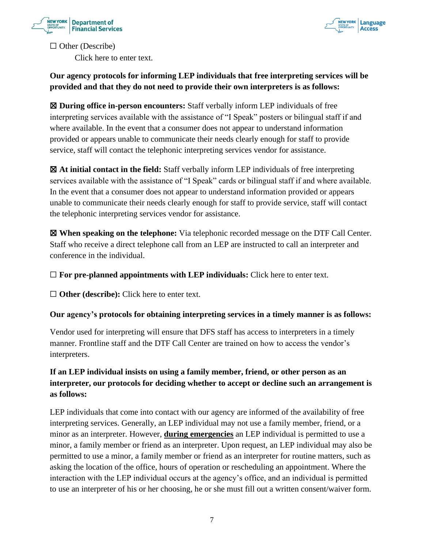



 $\Box$  Other (Describe) Click here to enter text.

# **Our agency protocols for informing LEP individuals that free interpreting services will be provided and that they do not need to provide their own interpreters is as follows:**

☒ **During office in-person encounters:** Staff verbally inform LEP individuals of free interpreting services available with the assistance of "I Speak" posters or bilingual staff if and where available. In the event that a consumer does not appear to understand information provided or appears unable to communicate their needs clearly enough for staff to provide service, staff will contact the telephonic interpreting services vendor for assistance.

☒ **At initial contact in the field:** Staff verbally inform LEP individuals of free interpreting services available with the assistance of "I Speak" cards or bilingual staff if and where available. In the event that a consumer does not appear to understand information provided or appears unable to communicate their needs clearly enough for staff to provide service, staff will contact the telephonic interpreting services vendor for assistance.

☒ **When speaking on the telephone:** Via telephonic recorded message on the DTF Call Center. Staff who receive a direct telephone call from an LEP are instructed to call an interpreter and conference in the individual.

 $\Box$  **For pre-planned appointments with LEP individuals:** Click here to enter text.

☐ **Other (describe):** Click here to enter text.

# **Our agency's protocols for obtaining interpreting services in a timely manner is as follows:**

Vendor used for interpreting will ensure that DFS staff has access to interpreters in a timely manner. Frontline staff and the DTF Call Center are trained on how to access the vendor's interpreters.

# **If an LEP individual insists on using a family member, friend, or other person as an interpreter, our protocols for deciding whether to accept or decline such an arrangement is as follows:**

LEP individuals that come into contact with our agency are informed of the availability of free interpreting services. Generally, an LEP individual may not use a family member, friend, or a minor as an interpreter. However, **during emergencies** an LEP individual is permitted to use a minor, a family member or friend as an interpreter. Upon request, an LEP individual may also be permitted to use a minor, a family member or friend as an interpreter for routine matters, such as asking the location of the office, hours of operation or rescheduling an appointment. Where the interaction with the LEP individual occurs at the agency's office, and an individual is permitted to use an interpreter of his or her choosing, he or she must fill out a written consent/waiver form.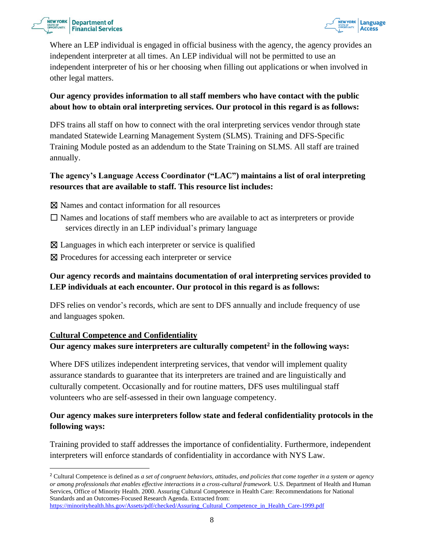



Where an LEP individual is engaged in official business with the agency, the agency provides an independent interpreter at all times. An LEP individual will not be permitted to use an independent interpreter of his or her choosing when filling out applications or when involved in other legal matters.

# **Our agency provides information to all staff members who have contact with the public about how to obtain oral interpreting services. Our protocol in this regard is as follows:**

DFS trains all staff on how to connect with the oral interpreting services vendor through state mandated Statewide Learning Management System (SLMS). Training and DFS-Specific Training Module posted as an addendum to the State Training on SLMS. All staff are trained annually.

# **The agency's Language Access Coordinator ("LAC") maintains a list of oral interpreting resources that are available to staff. This resource list includes:**

- ☒ Names and contact information for all resources
- $\Box$  Names and locations of staff members who are available to act as interpreters or provide services directly in an LEP individual's primary language
- ☒ Languages in which each interpreter or service is qualified
- ⊠ Procedures for accessing each interpreter or service

# **Our agency records and maintains documentation of oral interpreting services provided to LEP individuals at each encounter. Our protocol in this regard is as follows:**

DFS relies on vendor's records, which are sent to DFS annually and include frequency of use and languages spoken.

#### **Cultural Competence and Confidentiality Our agency makes sure interpreters are culturally competent<sup>2</sup> in the following ways:**

Where DFS utilizes independent interpreting services, that vendor will implement quality assurance standards to guarantee that its interpreters are trained and are linguistically and culturally competent. Occasionally and for routine matters, DFS uses multilingual staff volunteers who are self-assessed in their own language competency.

# **Our agency makes sure interpreters follow state and federal confidentiality protocols in the following ways:**

Training provided to staff addresses the importance of confidentiality. Furthermore, independent interpreters will enforce standards of confidentiality in accordance with NYS Law.

https://minorityhealth.hhs.gov/Assets/pdf/checked/Assuring\_Cultural\_Competence\_in\_Health\_Care-1999.pdf

<sup>2</sup> Cultural Competence is defined as *a set of congruent behaviors, attitudes, and policies that come together in a system or agency or among professionals that enables effective interactions in a cross-cultural framework.* U.S. Department of Health and Human Services, Office of Minority Health. 2000. Assuring Cultural Competence in Health Care: Recommendations for National Standards and an Outcomes-Focused Research Agenda. Extracted from: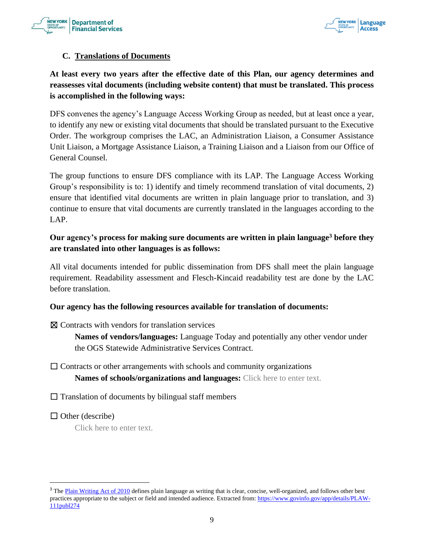



#### **C. Translations of Documents**

# **At least every two years after the effective date of this Plan, our agency determines and reassesses vital documents (including website content) that must be translated. This process is accomplished in the following ways:**

DFS convenes the agency's Language Access Working Group as needed, but at least once a year, to identify any new or existing vital documents that should be translated pursuant to the Executive Order. The workgroup comprises the LAC, an Administration Liaison, a Consumer Assistance Unit Liaison, a Mortgage Assistance Liaison, a Training Liaison and a Liaison from our Office of General Counsel.

The group functions to ensure DFS compliance with its LAP. The Language Access Working Group's responsibility is to: 1) identify and timely recommend translation of vital documents, 2) ensure that identified vital documents are written in plain language prior to translation, and 3) continue to ensure that vital documents are currently translated in the languages according to the LAP.

# **Our agency's process for making sure documents are written in plain language<sup>3</sup> before they are translated into other languages is as follows:**

All vital documents intended for public dissemination from DFS shall meet the plain language requirement. Readability assessment and Flesch-Kincaid readability test are done by the LAC before translation.

#### **Our agency has the following resources available for translation of documents:**

☒ Contracts with vendors for translation services

**Names of vendors/languages:** Language Today and potentially any other vendor under the OGS Statewide Administrative Services Contract.

# $\Box$  Contracts or other arrangements with schools and community organizations **Names of schools/organizations and languages:** Click here to enter text.

 $\Box$  Translation of documents by bilingual staff members

 $\Box$  Other (describe)

Click here to enter text.

<sup>&</sup>lt;sup>3</sup> The Plain Writing Act of 2010 defines plain language as writing that is clear, concise, well-organized, and follows other best practices appropriate to the subject or field and intended audience. Extracted from: https://www.govinfo.gov/app/details/PLAW-111publ274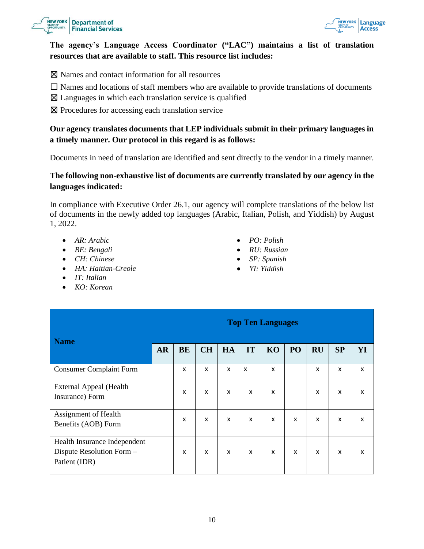



#### **The agency's Language Access Coordinator ("LAC") maintains a list of translation resources that are available to staff. This resource list includes:**

- ☒ Names and contact information for all resources
- $\Box$  Names and locations of staff members who are available to provide translations of documents
- $\boxtimes$  Languages in which each translation service is qualified
- ☒ Procedures for accessing each translation service

## **Our agency translates documents that LEP individuals submit in their primary languages in a timely manner. Our protocol in this regard is as follows:**

Documents in need of translation are identified and sent directly to the vendor in a timely manner.

#### **The following non-exhaustive list of documents are currently translated by our agency in the languages indicated:**

In compliance with Executive Order 26.1, our agency will complete translations of the below list of documents in the newly added top languages (Arabic, Italian, Polish, and Yiddish) by August 1, 2022.

- *AR: Arabic*
- *BE: Bengali*
- *CH: Chinese*
- *HA: Haitian-Creole*
- *IT: Italian*
- *KO: Korean*
- *PO: Polish*
- *RU: Russian*
- *SP: Spanish*
- *YI: Yiddish*

| <b>Name</b>                                                                | <b>Top Ten Languages</b> |           |              |    |    |                           |    |           |                           |    |
|----------------------------------------------------------------------------|--------------------------|-----------|--------------|----|----|---------------------------|----|-----------|---------------------------|----|
|                                                                            | <b>AR</b>                | <b>BE</b> | <b>CH</b>    | HA | IT | KO                        | PO | <b>RU</b> | SP                        | YI |
| <b>Consumer Complaint Form</b>                                             |                          | X         | X            | X  | X  | X                         |    | X         | X                         | X  |
| <b>External Appeal (Health</b><br>Insurance) Form                          |                          | X         | $\mathsf{x}$ | X  | X  | X                         |    | X         | $\boldsymbol{\mathsf{x}}$ | X  |
| Assignment of Health<br>Benefits (AOB) Form                                |                          | X         | X            | X  | X  | X                         | X  | X         | X                         | X  |
| Health Insurance Independent<br>Dispute Resolution Form -<br>Patient (IDR) |                          | X         | X            | X  | X  | $\boldsymbol{\mathsf{x}}$ | X  | X         | $\boldsymbol{\mathsf{x}}$ | X  |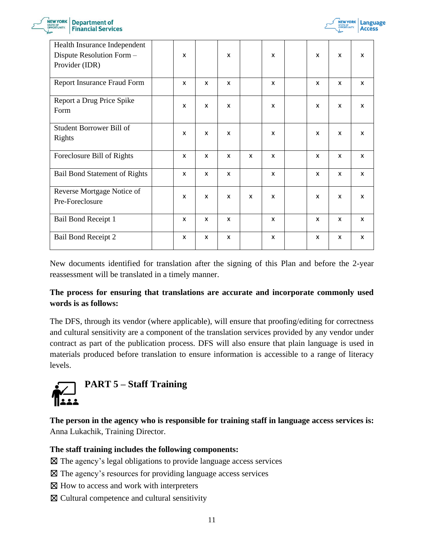



| Health Insurance Independent<br>Dispute Resolution Form -<br>Provider (IDR) | $\mathsf{x}$              |              | $\boldsymbol{\mathsf{x}}$ |   | x | x | X | X            |
|-----------------------------------------------------------------------------|---------------------------|--------------|---------------------------|---|---|---|---|--------------|
| Report Insurance Fraud Form                                                 | X                         | X            | X                         |   | X | X | X | X            |
| Report a Drug Price Spike<br>Form                                           | X                         | X            | X                         |   | X | X | X | X            |
| Student Borrower Bill of<br><b>Rights</b>                                   | X                         | X            | X                         |   | X | X | X | X            |
| Foreclosure Bill of Rights                                                  | X                         | X            | X                         | X | x | X | X | X            |
| <b>Bail Bond Statement of Rights</b>                                        | $\mathsf{x}$              | $\mathsf{x}$ | $\mathsf{x}$              |   | x | X | X | X            |
| Reverse Mortgage Notice of<br>Pre-Foreclosure                               | $\boldsymbol{\mathsf{x}}$ | X            | X                         | X | X | X | X | $\mathsf{x}$ |
| Bail Bond Receipt 1                                                         | $\mathsf{x}$              | X            | $\mathsf{x}$              |   | X | X | X | X            |
| <b>Bail Bond Receipt 2</b>                                                  | X                         | X            | X                         |   | X | X | X | X            |

New documents identified for translation after the signing of this Plan and before the 2-year reassessment will be translated in a timely manner.

# **The process for ensuring that translations are accurate and incorporate commonly used words is as follows:**

The DFS, through its vendor (where applicable), will ensure that proofing/editing for correctness and cultural sensitivity are a component of the translation services provided by any vendor under contract as part of the publication process. DFS will also ensure that plain language is used in materials produced before translation to ensure information is accessible to a range of literacy levels.

<span id="page-10-0"></span>

**The person in the agency who is responsible for training staff in language access services is:** Anna Lukachik, Training Director.

#### **The staff training includes the following components:**

 $\boxtimes$  The agency's legal obligations to provide language access services

- ☒ The agency's resources for providing language access services
- $\boxtimes$  How to access and work with interpreters
- ☒ Cultural competence and cultural sensitivity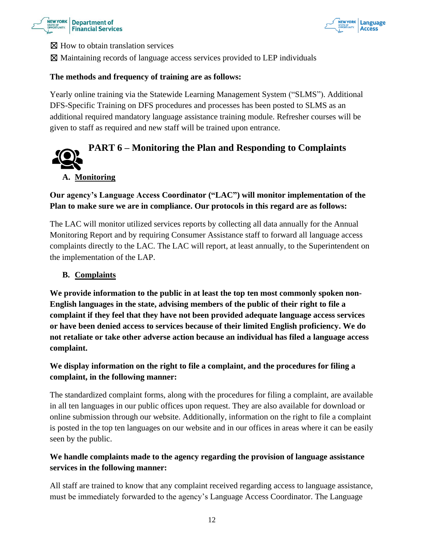



⊠ How to obtain translation services

☒ Maintaining records of language access services provided to LEP individuals

#### **The methods and frequency of training are as follows:**

Yearly online training via the Statewide Learning Management System ("SLMS"). Additional DFS-Specific Training on DFS procedures and processes has been posted to SLMS as an additional required mandatory language assistance training module. Refresher courses will be given to staff as required and new staff will be trained upon entrance.

# <span id="page-11-0"></span>**PART 6 – Monitoring the Plan and Responding to Complaints**

#### **A. Monitoring**

# **Our agency's Language Access Coordinator ("LAC") will monitor implementation of the Plan to make sure we are in compliance. Our protocols in this regard are as follows:**

The LAC will monitor utilized services reports by collecting all data annually for the Annual Monitoring Report and by requiring Consumer Assistance staff to forward all language access complaints directly to the LAC. The LAC will report, at least annually, to the Superintendent on the implementation of the LAP.

#### **B. Complaints**

**We provide information to the public in at least the top ten most commonly spoken non-English languages in the state, advising members of the public of their right to file a complaint if they feel that they have not been provided adequate language access services or have been denied access to services because of their limited English proficiency. We do not retaliate or take other adverse action because an individual has filed a language access complaint.** 

# **We display information on the right to file a complaint, and the procedures for filing a complaint, in the following manner:**

The standardized complaint forms, along with the procedures for filing a complaint, are available in all ten languages in our public offices upon request. They are also available for download or online submission through our website. Additionally, information on the right to file a complaint is posted in the top ten languages on our website and in our offices in areas where it can be easily seen by the public.

## **We handle complaints made to the agency regarding the provision of language assistance services in the following manner:**

All staff are trained to know that any complaint received regarding access to language assistance, must be immediately forwarded to the agency's Language Access Coordinator. The Language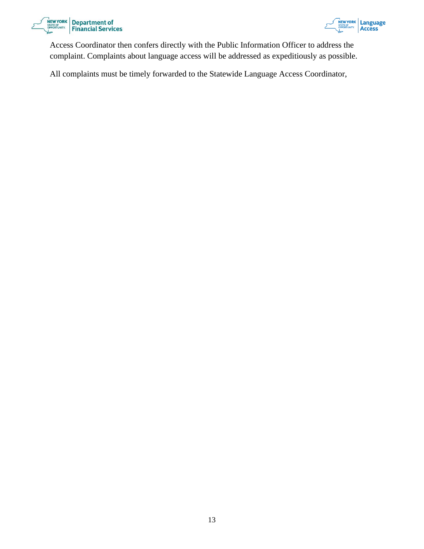



Access Coordinator then confers directly with the Public Information Officer to address the complaint. Complaints about language access will be addressed as expeditiously as possible.

<span id="page-12-0"></span>All complaints must be timely forwarded to the Statewide Language Access Coordinator,